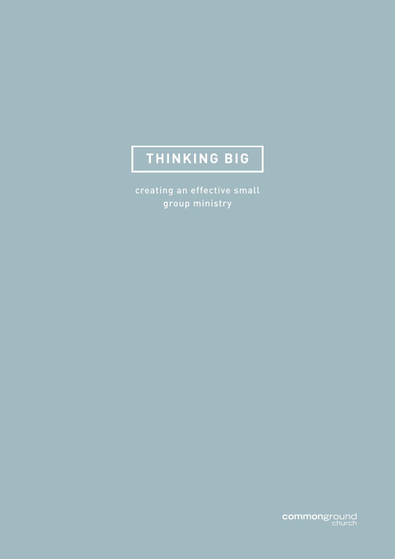# **THINKING BIG**

creating an effective small group ministry

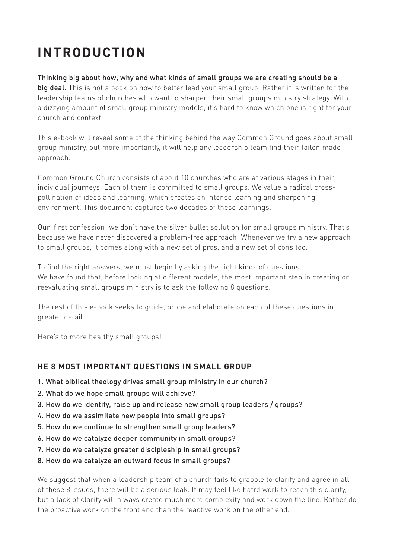## **INTRODUCTION**

Thinking big about how, why and what kinds of small groups we are creating should be a big deal. This is not a book on how to better lead your small group. Rather it is written for the leadership teams of churches who want to sharpen their small groups ministry strategy. With a dizzying amount of small group ministry models, it's hard to know which one is right for your church and context.

This e-book will reveal some of the thinking behind the way Common Ground goes about small group ministry, but more importantly, it will help any leadership team find their tailor-made approach.

Common Ground Church consists of about 10 churches who are at various stages in their individual journeys. Each of them is committed to small groups. We value a radical crosspollination of ideas and learning, which creates an intense learning and sharpening environment. This document captures two decades of these learnings.

Our first confession: we don't have the silver bullet sollution for small groups ministry. That's because we have never discovered a problem-free approach! Whenever we try a new approach to small groups, it comes along with a new set of pros, and a new set of cons too.

To find the right answers, we must begin by asking the right kinds of questions. We have found that, before looking at different models, the most important step in creating or reevaluating small groups ministry is to ask the following 8 questions.

The rest of this e-book seeks to guide, probe and elaborate on each of these questions in greater detail.

Here's to more healthy small groups!

## **HE 8 MOST IMPORTANT QUESTIONS IN SMALL GROUP**

- 1. What biblical theology drives small group ministry in our church?
- 2. What do we hope small groups will achieve?
- 3. How do we identify, raise up and release new small group leaders / groups?
- 4. How do we assimilate new people into small groups?
- 5. How do we continue to strengthen small group leaders?
- 6. How do we catalyze deeper community in small groups?
- 7. How do we catalyze greater discipleship in small groups?
- 8. How do we catalyze an outward focus in small groups?

We suggest that when a leadership team of a church fails to grapple to clarify and agree in all of these 8 issues, there will be a serious leak. It may feel like hatrd work to reach this clarity, but a lack of clarity will always create much more complexity and work down the line. Rather do the proactive work on the front end than the reactive work on the other end.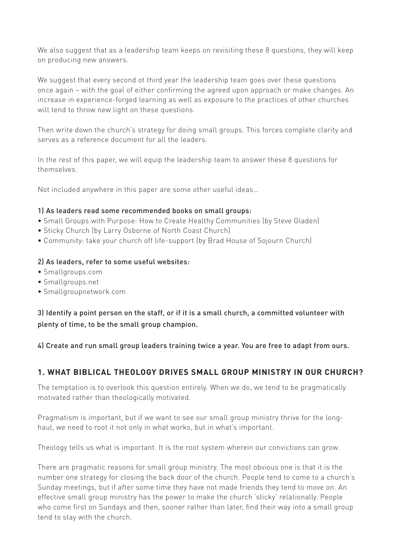We also suggest that as a leadership team keeps on revisiting these 8 questions, they will keep on producing new answers.

We suggest that every second ot third year the leadership team goes over these questions once again – with the goal of either confirming the agreed upon approach or make changes. An increase in experience-forged learning as well as exposure to the practices of other churches will tend to throw new light on these questions.

Then write down the church's strategy for doing small groups. This forces complete clarity and serves as a reference document for all the leaders.

In the rest of this paper, we will equip the leadership team to answer these 8 questions for themselves.

Not included anywhere in this paper are some other useful ideas…

#### 1) As leaders read some recommended books on small groups:

- Small Groups with Purpose: How to Create Healthy Communities (by Steve Gladen)
- Sticky Church (by Larry Osborne of North Coast Church)
- Community: take your church off life-support (by Brad House of Sojourn Church)

#### 2) As leaders, refer to some useful websites:

- Smallgroups.com
- Smallgroups.net
- Smallgroupnetwork.com

3) Identify a point person on the staff, or if it is a small church, a committed volunteer with plenty of time, to be the small group champion.

4) Create and run small group leaders training twice a year. You are free to adapt from ours.

#### **1. WHAT BIBLICAL THEOLOGY DRIVES SMALL GROUP MINISTRY IN OUR CHURCH?**

The temptation is to overlook this question entirely. When we do, we tend to be pragmatically motivated rather than theologically motivated.

Pragmatism is important, but if we want to see our small group ministry thrive for the longhaul, we need to root it not only in what works, but in what's important.

Theology tells us what is important. It is the root system wherein our convictions can grow.

There are pragmatic reasons for small group ministry. The most obvious one is that it is the number one strategy for closing the back door of the church. People tend to come to a church's Sunday meetings, but if after some time they have not made friends they tend to move on. An effective small group ministry has the power to make the church 'sticky' relationally. People who come first on Sundays and then, sooner rather than later, find their way into a small group tend to stay with the church.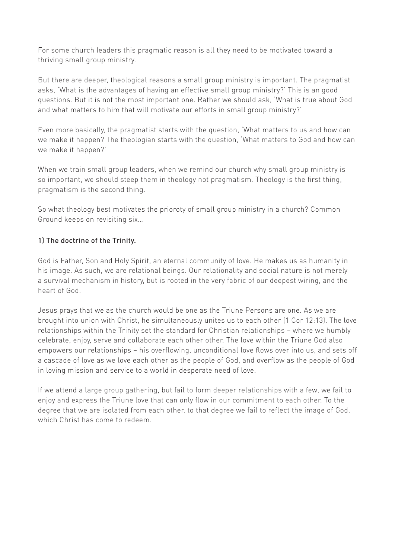For some church leaders this pragmatic reason is all they need to be motivated toward a thriving small group ministry.

But there are deeper, theological reasons a small group ministry is important. The pragmatist asks, 'What is the advantages of having an effective small group ministry?' This is an good questions. But it is not the most important one. Rather we should ask, 'What is true about God and what matters to him that will motivate our efforts in small group ministry?'

Even more basically, the pragmatist starts with the question, 'What matters to us and how can we make it happen? The theologian starts with the question, 'What matters to God and how can we make it happen?'

When we train small group leaders, when we remind our church why small group ministry is so important, we should steep them in theology not pragmatism. Theology is the first thing, pragmatism is the second thing.

So what theology best motivates the prioroty of small group ministry in a church? Common Ground keeps on revisiting six…

#### 1) The doctrine of the Trinity.

God is Father, Son and Holy Spirit, an eternal community of love. He makes us as humanity in his image. As such, we are relational beings. Our relationality and social nature is not merely a survival mechanism in history, but is rooted in the very fabric of our deepest wiring, and the heart of God.

Jesus prays that we as the church would be one as the Triune Persons are one. As we are brought into union with Christ, he simultaneously unites us to each other (1 Cor 12:13). The love relationships within the Trinity set the standard for Christian relationships – where we humbly celebrate, enjoy, serve and collaborate each other other. The love within the Triune God also empowers our relationships – his overflowing, unconditional love flows over into us, and sets off a cascade of love as we love each other as the people of God, and overflow as the people of God in loving mission and service to a world in desperate need of love.

If we attend a large group gathering, but fail to form deeper relationships with a few, we fail to enjoy and express the Triune love that can only flow in our commitment to each other. To the degree that we are isolated from each other, to that degree we fail to reflect the image of God, which Christ has come to redeem.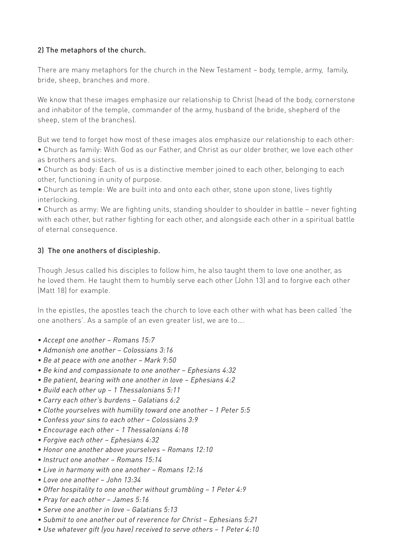#### 2) The metaphors of the church.

There are many metaphors for the church in the New Testament – body, temple, army, family, bride, sheep, branches and more.

We know that these images emphasize our relationship to Christ (head of the body, cornerstone and inhabitor of the temple, commander of the army, husband of the bride, shepherd of the sheep, stem of the branches).

But we tend to forget how most of these images alos emphasize our relationship to each other: • Church as family: With God as our Father, and Christ as our older brother, we love each other as brothers and sisters.

• Church as body: Each of us is a distinctive member joined to each other, belonging to each other, functioning in unity of purpose.

• Church as temple: We are built into and onto each other, stone upon stone, lives tightly interlocking.

• Church as army: We are fighting units, standing shoulder to shoulder in battle – never fighting with each other, but rather fighting for each other, and alongside each other in a spiritual battle of eternal consequence.

#### 3) The one anothers of discipleship.

Though Jesus called his disciples to follow him, he also taught them to love one another, as he loved them. He taught them to humbly serve each other (John 13) and to forgive each other (Matt 18) for example.

In the epistles, the apostles teach the church to love each other with what has been called 'the one anothers'. As a sample of an even greater list, we are to….

- *Accept one another Romans 15:7*
- *Admonish one another Colossians 3:16*
- *Be at peace with one another Mark 9:50*
- *Be kind and compassionate to one another Ephesians 4:32*
- *Be patient, bearing with one another in love Ephesians 4:2*
- *Build each other up 1 Thessalonians 5:11*
- *Carry each other's burdens Galatians 6:2*
- *Clothe yourselves with humility toward one another 1 Peter 5:5*
- *Confess your sins to each other Colossians 3:9*
- *Encourage each other 1 Thessalonians 4:18*
- *Forgive each other Ephesians 4:32*
- *Honor one another above yourselves Romans 12:10*
- *Instruct one another Romans 15:14*
- *Live in harmony with one another Romans 12:16*
- *Love one another John 13:34*
- *Offer hospitality to one another without grumbling 1 Peter 4:9*
- *Pray for each other James 5:16*
- *Serve one another in love Galatians 5:13*
- *Submit to one another out of reverence for Christ Ephesians 5:21*
- *Use whatever gift (you have) received to serve others 1 Peter 4:10*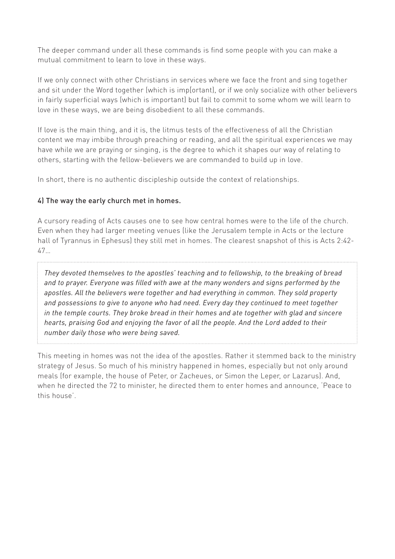The deeper command under all these commands is find some people with you can make a mutual commitment to learn to love in these ways.

If we only connect with other Christians in services where we face the front and sing together and sit under the Word together (which is imp[ortant), or if we only socialize with other believers in fairly superficial ways (which is important) but fail to commit to some whom we will learn to love in these ways, we are being disobedient to all these commands.

If love is the main thing, and it is, the litmus tests of the effectiveness of all the Christian content we may imbibe through preaching or reading, and all the spiritual experiences we may have while we are praying or singing, is the degree to which it shapes our way of relating to others, starting with the fellow-believers we are commanded to build up in love.

In short, there is no authentic discipleship outside the context of relationships.

#### 4) The way the early church met in homes.

A cursory reading of Acts causes one to see how central homes were to the life of the church. Even when they had larger meeting venues (like the Jerusalem temple in Acts or the lecture hall of Tyrannus in Ephesus) they still met in homes. The clearest snapshot of this is Acts 2:42- 47…

*They devoted themselves to the apostles' teaching and to fellowship, to the breaking of bread and to prayer. Everyone was filled with awe at the many wonders and signs performed by the apostles. All the believers were together and had everything in common. They sold property and possessions to give to anyone who had need. Every day they continued to meet together in the temple courts. They broke bread in their homes and ate together with glad and sincere hearts, praising God and enjoying the favor of all the people. And the Lord added to their number daily those who were being saved.*

This meeting in homes was not the idea of the apostles. Rather it stemmed back to the ministry strategy of Jesus. So much of his ministry happened in homes, especially but not only around meals (for example, the house of Peter, or Zacheues, or Simon the Leper, or Lazarus). And, when he directed the 72 to minister, he directed them to enter homes and announce, 'Peace to this house'.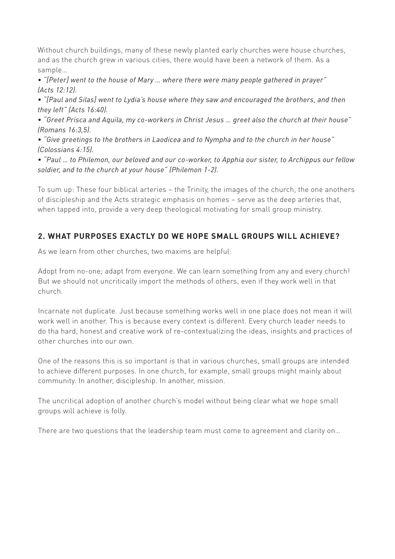Without church buildings, many of these newly planted early churches were house churches, and as the church grew in various cities, there would have been a network of them. As a sample…

*• "[Peter] went to the house of Mary … where there were many people gathered in prayer" (Acts 12:12).*

*• "[Paul and Silas] went to Lydia's house where they saw and encouraged the brothers, and then they left" (Acts 16:40).*

*• "Greet Prisca and Aquila, my co-workers in Christ Jesus … greet also the church at their house" (Romans 16:3,5).*

*• "Give greetings to the brothers in Laodicea and to Nympha and to the church in her house" (Colossians 4:15).*

*• "Paul … to Philemon, our beloved and our co-worker, to Apphia our sister, to Archippus our fellow soldier, and to the church at your house" (Philemon 1-2).*

To sum up: These four biblical arteries – the Trinity, the images of the church, the one anothers of discipleship and the Acts strategic emphasis on homes – serve as the deep arteries that, when tapped into, provide a very deep theological motivating for small group ministry.

## **2. WHAT PURPOSES EXACTLY DO WE HOPE SMALL GROUPS WILL ACHIEVE?**

As we learn from other churches, two maxims are helpful:

Adopt from no-one; adapt from everyone. We can learn something from any and every church! But we should not uncritically import the methods of others, even if they work well in that church.

Incarnate not duplicate. Just because something works well in one place does not mean it will work well in another. This is because every context is different. Every church leader needs to do tha hard, honest and creative work of re-contextualizing the ideas, insights and practices of other churches into our own.

One of the reasons this is so important is that in various churches, small groups are intended to achieve different purposes. In one church, for example, small groups might mainly about community. In another, discipleship. In another, mission.

The uncritical adoption of another church's model without being clear what we hope small groups will achieve is folly.

There are two questions that the leadership team must come to agreement and clarity on…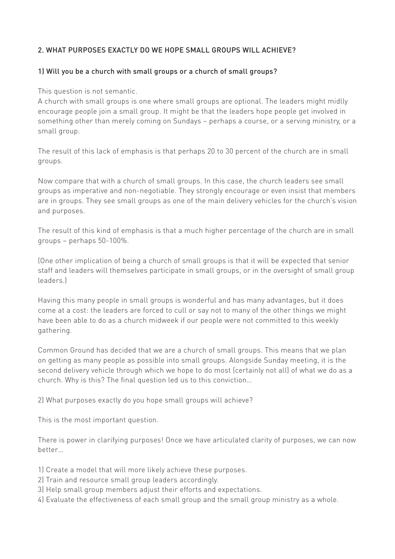## 2. WHAT PURPOSES EXACTLY DO WE HOPE SMALL GROUPS WILL ACHIEVE?

#### 1) Will you be a church with small groups or a church of small groups?

This question is not semantic.

A church with small groups is one where small groups are optional. The leaders might midlly encourage people join a small group. It might be that the leaders hope people get involved in something other than merely coming on Sundays – perhaps a course, or a serving ministry, or a small group.

The result of this lack of emphasis is that perhaps 20 to 30 percent of the church are in small groups.

Now compare that with a church of small groups. In this case, the church leaders see small groups as imperative and non-negotiable. They strongly encourage or even insist that members are in groups. They see small groups as one of the main delivery vehicles for the church's vision and purposes.

The result of this kind of emphasis is that a much higher percentage of the church are in small groups – perhaps 50-100%.

(One other implication of being a church of small groups is that it will be expected that senior staff and leaders will themselves participate in small groups, or in the oversight of small group leaders.)

Having this many people in small groups is wonderful and has many advantages, but it does come at a cost: the leaders are forced to cull or say not to many of the other things we might have been able to do as a church midweek if our people were not committed to this weekly gathering.

Common Ground has decided that we are a church of small groups. This means that we plan on getting as many people as possible into small groups. Alongside Sunday meeting, it is the second delivery vehicle through which we hope to do most (certainly not all) of what we do as a church. Why is this? The final question led us to this conviction…

2) What purposes exactly do you hope small groups will achieve?

This is the most important question.

There is power in clarifying purposes! Once we have articulated clarity of purposes, we can now better…

1) Create a model that will more likely achieve these purposes.

- 2) Train and resource small group leaders accordingly.
- 3) Help small group members adjust their efforts and expectations.
- 4) Evaluate the effectiveness of each small group and the small group ministry as a whole.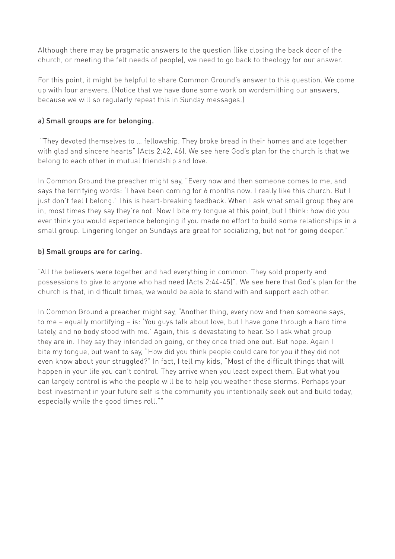Although there may be pragmatic answers to the question (like closing the back door of the church, or meeting the felt needs of people), we need to go back to theology for our answer.

For this point, it might be helpful to share Common Ground's answer to this question. We come up with four answers. (Notice that we have done some work on wordsmithing our answers, because we will so regularly repeat this in Sunday messages.)

#### a) Small groups are for belonging.

 "They devoted themselves to … fellowship. They broke bread in their homes and ate together with glad and sincere hearts" (Acts 2:42, 46). We see here God's plan for the church is that we belong to each other in mutual friendship and love.

In Common Ground the preacher might say, "Every now and then someone comes to me, and says the terrifying words: 'I have been coming for 6 months now. I really like this church. But I just don't feel I belong.' This is heart-breaking feedback. When I ask what small group they are in, most times they say they're not. Now I bite my tongue at this point, but I think: how did you ever think you would experience belonging if you made no effort to build some relationships in a small group. Lingering longer on Sundays are great for socializing, but not for going deeper."

#### b) Small groups are for caring.

"All the believers were together and had everything in common. They sold property and possessions to give to anyone who had need (Acts 2:44-45)". We see here that God's plan for the church is that, in difficult times, we would be able to stand with and support each other.

In Common Ground a preacher might say, "Another thing, every now and then someone says, to me – equally mortifying – is: 'You guys talk about love, but I have gone through a hard time lately, and no body stood with me.' Again, this is devastating to hear. So I ask what group they are in. They say they intended on going, or they once tried one out. But nope. Again I bite my tongue, but want to say, "How did you think people could care for you if they did not even know about your struggled?" In fact, I tell my kids, "Most of the difficult things that will happen in your life you can't control. They arrive when you least expect them. But what you can largely control is who the people will be to help you weather those storms. Perhaps your best investment in your future self is the community you intentionally seek out and build today, especially while the good times roll.""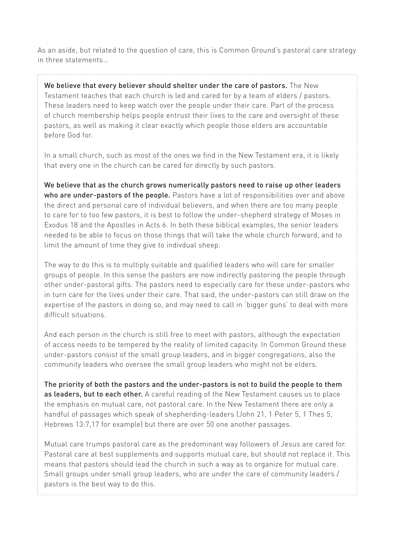As an aside, but related to the question of care, this is Common Ground's pastoral care strategy in three statements…

We believe that every believer should shelter under the care of pastors. The New Testament teaches that each church is led and cared for by a team of elders / pastors. These leaders need to keep watch over the people under their care. Part of the process of church membership helps people entrust their lives to the care and oversight of these pastors, as well as making it clear exactly which people those elders are accountable before God for.

In a small church, such as most of the ones we find in the New Testament era, it is likely that every one in the church can be cared for directly by such pastors.

We believe that as the church grows numerically pastors need to raise up other leaders who are under-pastors of the people. Pastors have a lot of responsibilities over and above the direct and personal care of individual believers, and when there are too many people to care for to too few pastors, it is best to follow the under-shepherd strategy of Moses in Exodus 18 and the Apostles in Acts 6. In both these biblical examples, the senior leaders needed to be able to focus on those things that will take the whole church forward, and to limit the amount of time they give to indivdual sheep.

The way to do this is to multiply suitable and qualified leaders who will care for smaller groups of people. In this sense the pastors are now indirectly pastoring the people through other under-pastoral gifts. The pastors need to especially care for these under-pastors who in turn care for the lives under their care. That said, the under-pastors can still draw on the expertise of the pastors in doing so, and may need to call in 'bigger guns' to deal with more difficult situations.

And each person in the church is still free to meet with pastors, although the expectation of access needs to be tempered by the reality of limited capacity. In Common Ground these under-pastors consist of the small group leaders, and in bigger congregations, also the community leaders who oversee the small group leaders who might not be elders.

The priority of both the pastors and the under-pastors is not to build the people to them as leaders, but to each other. A careful reading of the New Testament causes us to place the emphasis on mutual care, not pastoral care. In the New Testament there are only a handful of passages which speak of shepherding-leaders (John 21, 1 Peter 5, 1 Thes 5, Hebrews 13:7,17 for example) but there are over 50 one another passages.

Mutual care trumps pastoral care as the predominant way followers of Jesus are cared for. Pastoral care at best supplements and supports mutual care, but should not replace it. This means that pastors should lead the church in such a way as to organize for mutual care. Small groups under small group leaders, who are under the care of community leaders / pastors is the best way to do this.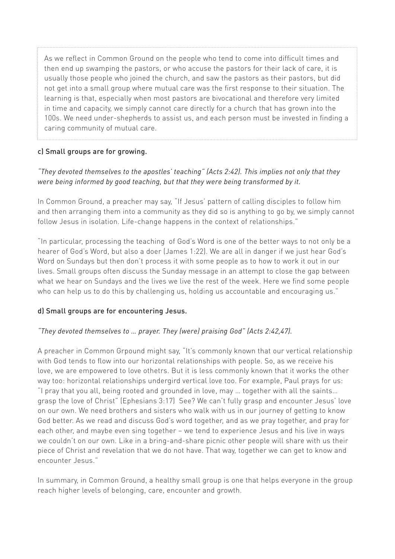As we reflect in Common Ground on the people who tend to come into difficult times and then end up swamping the pastors, or who accuse the pastors for their lack of care, it is usually those people who joined the church, and saw the pastors as their pastors, but did not get into a small group where mutual care was the first response to their situation. The learning is that, especially when most pastors are bivocational and therefore very limited in time and capacity, we simply cannot care directly for a church that has grown into the 100s. We need under-shepherds to assist us, and each person must be invested in finding a caring community of mutual care.

#### c) Small groups are for growing.

## *"They devoted themselves to the apostles' teaching" (Acts 2:42). This implies not only that they were being informed by good teaching, but that they were being transformed by it.*

In Common Ground, a preacher may say, "If Jesus' pattern of calling disciples to follow him and then arranging them into a community as they did so is anything to go by, we simply cannot follow Jesus in isolation. Life-change happens in the context of relationships."

"In particular, processing the teaching of God's Word is one of the better ways to not only be a hearer of God's Word, but also a doer (James 1:22). We are all in danger if we just hear God's Word on Sundays but then don't process it with some people as to how to work it out in our lives. Small groups often discuss the Sunday message in an attempt to close the gap between what we hear on Sundays and the lives we live the rest of the week. Here we find some people who can help us to do this by challenging us, holding us accountable and encouraging us."

#### d) Small groups are for encountering Jesus.

## *"They devoted themselves to … prayer. They (were) praising God" (Acts 2:42,47).*

A preacher in Common Grpound might say, "It's commonly known that our vertical relationship with God tends to flow into our horizontal relationships with people. So, as we receive his love, we are empowered to love othetrs. But it is less commonly known that it works the other way too: horizontal relationships undergird vertical love too. For example, Paul prays for us: "I pray that you all, being rooted and grounded in love, may … together with all the saints… grasp the love of Christ" (Ephesians 3:17) See? We can't fully grasp and encounter Jesus' love on our own. We need brothers and sisters who walk with us in our journey of getting to know God better. As we read and discuss God's word together, and as we pray together, and pray for each other, and maybe even sing together – we tend to experience Jesus and his live in ways we couldn't on our own. Like in a bring-and-share picnic other people will share with us their piece of Christ and revelation that we do not have. That way, together we can get to know and encounter Jesus."

In summary, in Common Ground, a healthy small group is one that helps everyone in the group reach higher levels of belonging, care, encounter and growth.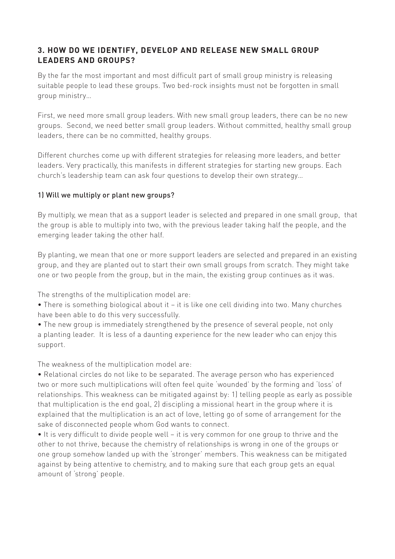## **3. HOW DO WE IDENTIFY, DEVELOP AND RELEASE NEW SMALL GROUP LEADERS AND GROUPS?**

By the far the most important and most difficult part of small group ministry is releasing suitable people to lead these groups. Two bed-rock insights must not be forgotten in small group ministry…

First, we need more small group leaders. With new small group leaders, there can be no new groups. Second, we need better small group leaders. Without committed, healthy small group leaders, there can be no committed, healthy groups.

Different churches come up with different strategies for releasing more leaders, and better leaders. Very practically, this manifests in different strategies for starting new groups. Each church's leadership team can ask four questions to develop their own strategy…

#### 1) Will we multiply or plant new groups?

By multiply, we mean that as a support leader is selected and prepared in one small group, that the group is able to multiply into two, with the previous leader taking half the people, and the emerging leader taking the other half.

By planting, we mean that one or more support leaders are selected and prepared in an existing group, and they are planted out to start their own small groups from scratch. They might take one or two people from the group, but in the main, the existing group continues as it was.

The strengths of the multiplication model are:

• There is something biological about it – it is like one cell dividing into two. Many churches have been able to do this very successfully.

• The new group is immediately strengthened by the presence of several people, not only

a planting leader. It is less of a daunting experience for the new leader who can enjoy this support.

The weakness of the multiplication model are:

• Relational circles do not like to be separated. The average person who has experienced two or more such multiplications will often feel quite 'wounded' by the forming and 'loss' of relationships. This weakness can be mitigated against by: 1) telling people as early as possible that multiplication is the end goal, 2) discipling a missional heart in the group where it is explained that the multiplication is an act of love, letting go of some of arrangement for the sake of disconnected people whom God wants to connect.

• It is very difficult to divide people well – it is very common for one group to thrive and the other to not thrive, because the chemistry of relationships is wrong in one of the groups or one group somehow landed up with the 'stronger' members. This weakness can be mitigated against by being attentive to chemistry, and to making sure that each group gets an equal amount of 'strong' people.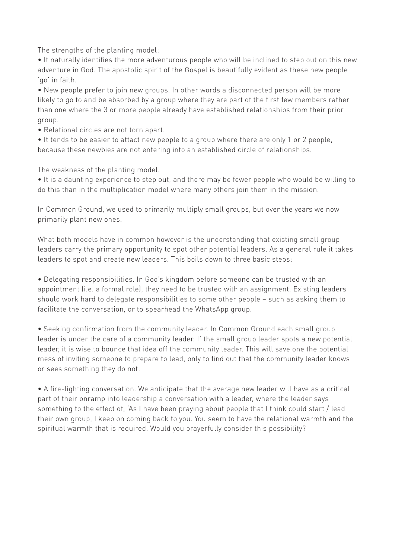The strengths of the planting model:

• It naturally identifies the more adventurous people who will be inclined to step out on this new adventure in God. The apostolic spirit of the Gospel is beautifully evident as these new people 'go' in faith.

• New people prefer to join new groups. In other words a disconnected person will be more likely to go to and be absorbed by a group where they are part of the first few members rather than one where the 3 or more people already have established relationships from their prior group.

• Relational circles are not torn apart.

• It tends to be easier to attact new people to a group where there are only 1 or 2 people, because these newbies are not entering into an established circle of relationships.

The weakness of the planting model.

• It is a daunting experience to step out, and there may be fewer people who would be willing to do this than in the multiplication model where many others join them in the mission.

In Common Ground, we used to primarily multiply small groups, but over the years we now primarily plant new ones.

What both models have in common however is the understanding that existing small group leaders carry the primary opportunity to spot other potential leaders. As a general rule it takes leaders to spot and create new leaders. This boils down to three basic steps:

• Delegating responsibilities. In God's kingdom before someone can be trusted with an appointment (i.e. a formal role), they need to be trusted with an assignment. Existing leaders should work hard to delegate responsibilities to some other people – such as asking them to facilitate the conversation, or to spearhead the WhatsApp group.

• Seeking confirmation from the community leader. In Common Ground each small group leader is under the care of a community leader. If the small group leader spots a new potential leader, it is wise to bounce that idea off the community leader. This will save one the potential mess of inviting someone to prepare to lead, only to find out that the community leader knows or sees something they do not.

• A fire-lighting conversation. We anticipate that the average new leader will have as a critical part of their onramp into leadership a conversation with a leader, where the leader says something to the effect of, 'As I have been praying about people that I think could start / lead their own group, I keep on coming back to you. You seem to have the relational warmth and the spiritual warmth that is required. Would you prayerfully consider this possibility?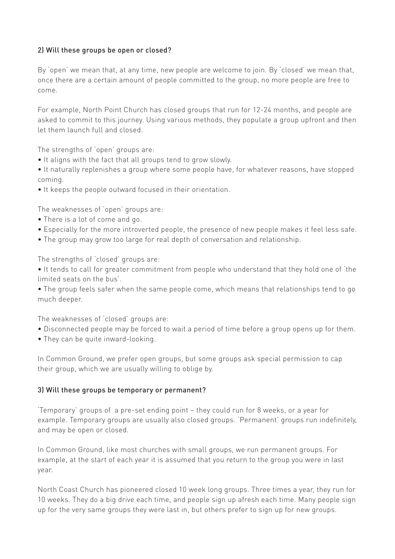#### 2) Will these groups be open or closed?

By 'open' we mean that, at any time, new people are welcome to join. By 'closed' we mean that, once there are a certain amount of people committed to the group, no more people are free to come.

For example, North Point Church has closed groups that run for 12-24 months, and people are asked to commit to this journey. Using various methods, they populate a group upfront and then let them launch full and closed.

The strengths of 'open' groups are:

- It aligns with the fact that all groups tend to grow slowly.
- It naturally replenishes a group where some people have, for whatever reasons, have stopped coming.
- It keeps the people outward focused in their orientation.

The weaknesses of 'open' groups are:

- There is a lot of come and go.
- Especially for the more introverted people, the presence of new people makes it feel less safe.
- The group may grow too large for real depth of conversation and relationship.

The strengths of 'closed' groups are:

• It tends to call for greater commitment from people who understand that they hold one of 'the limited seats on the bus'.

• The group feels safer when the same people come, which means that relationships tend to go much deeper.

The weaknesses of 'closed' groups are:

- Disconnected people may be forced to wait a period of time before a group opens up for them.
- They can be quite inward-looking.

In Common Ground, we prefer open groups, but some groups ask special permission to cap their group, which we are usually willing to oblige by.

#### 3) Will these groups be temporary or permanent?

'Temporary' groups of a pre-set ending point – they could run for 8 weeks, or a year for example. Temporary groups are usually also closed groups. 'Permanent' groups run indefinitely, and may be open or closed.

In Common Ground, like most churches with small groups, we run permanent groups. For example, at the start of each year it is assumed that you return to the group you were in last year.

North Coast Church has pioneered closed 10 week long groups. Three times a year, they run for 10 weeks. They do a big drive each time, and people sign up afresh each time. Many people sign up for the very same groups they were last in, but others prefer to sign up for new groups.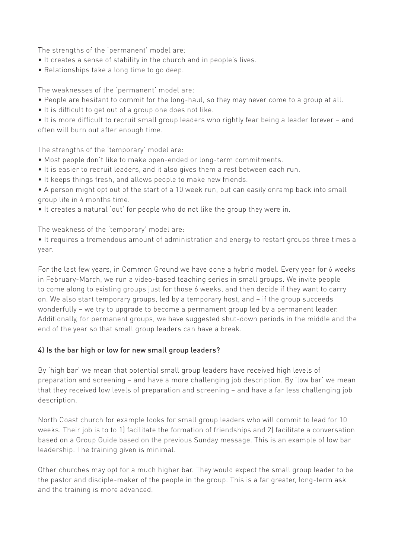The strengths of the 'permanent' model are:

- It creates a sense of stability in the church and in people's lives.
- Relationships take a long time to go deep.

The weaknesses of the 'permanent' model are:

- People are hesitant to commit for the long-haul, so they may never come to a group at all.
- It is difficult to get out of a group one does not like.

• It is more difficult to recruit small group leaders who rightly fear being a leader forever – and often will burn out after enough time.

The strengths of the 'temporary' model are:

- Most people don't like to make open-ended or long-term commitments.
- It is easier to recruit leaders, and it also gives them a rest between each run.
- It keeps things fresh, and allows people to make new friends.
- A person might opt out of the start of a 10 week run, but can easily onramp back into small group life in 4 months time.
- It creates a natural 'out' for people who do not like the group they were in.

The weakness of the 'temporary' model are:

• It requires a tremendous amount of administration and energy to restart groups three times a year.

For the last few years, in Common Ground we have done a hybrid model. Every year for 6 weeks in February-March, we run a video-based teaching series in small groups. We invite people to come along to existing groups just for those 6 weeks, and then decide if they want to carry on. We also start temporary groups, led by a temporary host, and – if the group succeeds wonderfully – we try to upgrade to become a permament group led by a permanent leader. Additionally, for permanent groups, we have suggested shut-down periods in the middle and the end of the year so that small group leaders can have a break.

#### 4) Is the bar high or low for new small group leaders?

By 'high bar' we mean that potential small group leaders have received high levels of preparation and screening – and have a more challenging job description. By 'low bar' we mean that they received low levels of preparation and screening – and have a far less challenging job description.

North Coast church for example looks for small group leaders who will commit to lead for 10 weeks. Their job is to to 1) facilitate the formation of friendships and 2) facilitate a conversation based on a Group Guide based on the previous Sunday message. This is an example of low bar leadership. The training given is minimal.

Other churches may opt for a much higher bar. They would expect the small group leader to be the pastor and disciple-maker of the people in the group. This is a far greater, long-term ask and the training is more advanced.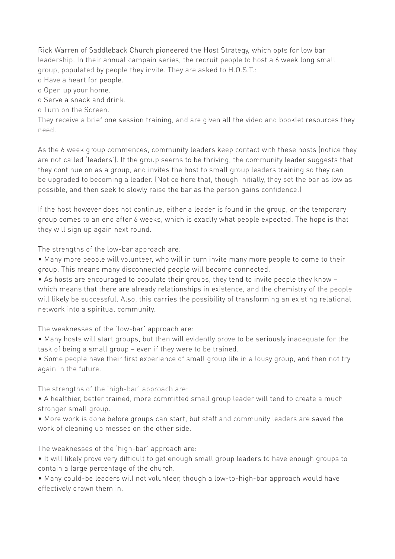Rick Warren of Saddleback Church pioneered the Host Strategy, which opts for low bar leadership. In their annual campain series, the recruit people to host a 6 week long small group, populated by people they invite. They are asked to H.O.S.T.:

o Have a heart for people.

o Open up your home.

o Serve a snack and drink.

o Turn on the Screen.

They receive a brief one session training, and are given all the video and booklet resources they need.

As the 6 week group commences, community leaders keep contact with these hosts (notice they are not called 'leaders'). If the group seems to be thriving, the community leader suggests that they continue on as a group, and invites the host to small group leaders training so they can be upgraded to becoming a leader. (Notice here that, though initially, they set the bar as low as possible, and then seek to slowly raise the bar as the person gains confidence.)

If the host however does not continue, either a leader is found in the group, or the temporary group comes to an end after 6 weeks, which is exaclty what people expected. The hope is that they will sign up again next round.

The strengths of the low-bar approach are:

• Many more people will volunteer, who will in turn invite many more people to come to their group. This means many disconnected people will become connected.

• As hosts are encouraged to populate their groups, they tend to invite people they know – which means that there are already relationships in existence, and the chemistry of the people will likely be successful. Also, this carries the possibility of transforming an existing relational network into a spiritual community.

The weaknesses of the 'low-bar' approach are:

• Many hosts will start groups, but then will evidently prove to be seriously inadequate for the task of being a small group – even if they were to be trained.

• Some people have their first experience of small group life in a lousy group, and then not try again in the future.

The strengths of the 'high-bar' approach are:

• A healthier, better trained, more committed small group leader will tend to create a much stronger small group.

• More work is done before groups can start, but staff and community leaders are saved the work of cleaning up messes on the other side.

The weaknesses of the 'high-bar' approach are:

• It will likely prove very difficult to get enough small group leaders to have enough groups to contain a large percentage of the church.

• Many could-be leaders will not volunteer, though a low-to-high-bar approach would have effectively drawn them in.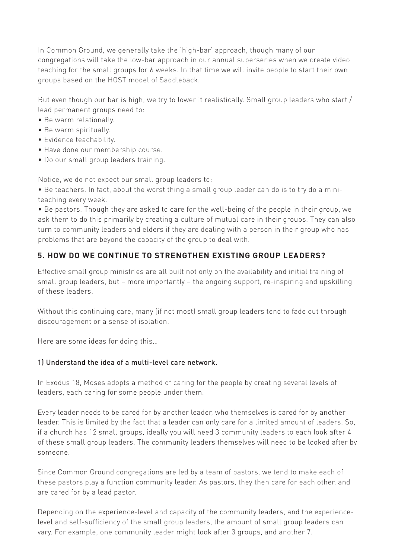In Common Ground, we generally take the 'high-bar' approach, though many of our congregations will take the low-bar approach in our annual superseries when we create video teaching for the small groups for 6 weeks. In that time we will invite people to start their own groups based on the HOST model of Saddleback.

But even though our bar is high, we try to lower it realistically. Small group leaders who start / lead permanent groups need to:

- Be warm relationally.
- Be warm spiritually.
- Evidence teachability.
- Have done our membership course.
- Do our small group leaders training.

Notice, we do not expect our small group leaders to:

• Be teachers. In fact, about the worst thing a small group leader can do is to try do a miniteaching every week.

• Be pastors. Though they are asked to care for the well-being of the people in their group, we ask them to do this primarily by creating a culture of mutual care in their groups. They can also turn to community leaders and elders if they are dealing with a person in their group who has problems that are beyond the capacity of the group to deal with.

## **5. HOW DO WE CONTINUE TO STRENGTHEN EXISTING GROUP LEADERS?**

Effective small group ministries are all built not only on the availability and initial training of small group leaders, but – more importantly – the ongoing support, re-inspiring and upskilling of these leaders.

Without this continuing care, many (if not most) small group leaders tend to fade out through discouragement or a sense of isolation.

Here are some ideas for doing this…

## 1) Understand the idea of a multi-level care network.

In Exodus 18, Moses adopts a method of caring for the people by creating several levels of leaders, each caring for some people under them.

Every leader needs to be cared for by another leader, who themselves is cared for by another leader. This is limited by the fact that a leader can only care for a limited amount of leaders. So, if a church has 12 small groups, ideally you will need 3 community leaders to each look after 4 of these small group leaders. The community leaders themselves will need to be looked after by someone.

Since Common Ground congregations are led by a team of pastors, we tend to make each of these pastors play a function community leader. As pastors, they then care for each other, and are cared for by a lead pastor.

Depending on the experience-level and capacity of the community leaders, and the experiencelevel and self-sufficiency of the small group leaders, the amount of small group leaders can vary. For example, one community leader might look after 3 groups, and another 7.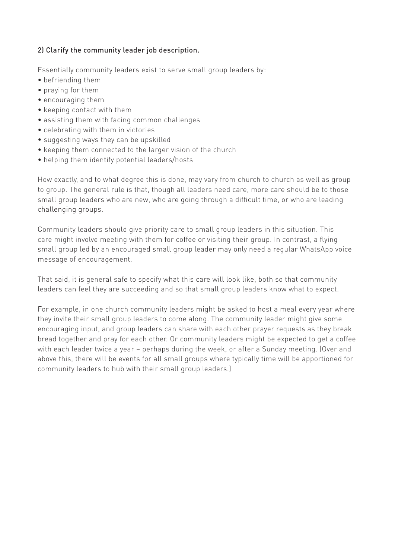#### 2) Clarify the community leader job description.

Essentially community leaders exist to serve small group leaders by:

- befriending them
- praying for them
- encouraging them
- keeping contact with them
- assisting them with facing common challenges
- celebrating with them in victories
- suggesting ways they can be upskilled
- keeping them connected to the larger vision of the church
- helping them identify potential leaders/hosts

How exactly, and to what degree this is done, may vary from church to church as well as group to group. The general rule is that, though all leaders need care, more care should be to those small group leaders who are new, who are going through a difficult time, or who are leading challenging groups.

Community leaders should give priority care to small group leaders in this situation. This care might involve meeting with them for coffee or visiting their group. In contrast, a flying small group led by an encouraged small group leader may only need a regular WhatsApp voice message of encouragement.

That said, it is general safe to specify what this care will look like, both so that community leaders can feel they are succeeding and so that small group leaders know what to expect.

For example, in one church community leaders might be asked to host a meal every year where they invite their small group leaders to come along. The community leader might give some encouraging input, and group leaders can share with each other prayer requests as they break bread together and pray for each other. Or community leaders might be expected to get a coffee with each leader twice a year – perhaps during the week, or after a Sunday meeting. (Over and above this, there will be events for all small groups where typically time will be apportioned for community leaders to hub with their small group leaders.)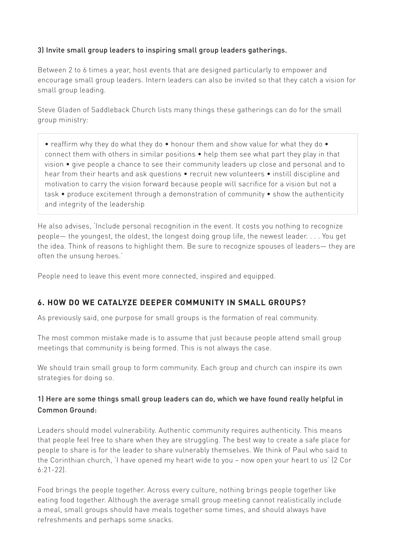## 3) Invite small group leaders to inspiring small group leaders gatherings.

Between 2 to 6 times a year, host events that are designed particularly to empower and encourage small group leaders. Intern leaders can also be invited so that they catch a vision for small group leading.

Steve Gladen of Saddleback Church lists many things these gatherings can do for the small group ministry:

• reaffirm why they do what they do • honour them and show value for what they do • connect them with others in similar positions • help them see what part they play in that vision • give people a chance to see their community leaders up close and personal and to hear from their hearts and ask questions • recruit new volunteers • instill discipline and motivation to carry the vision forward because people will sacrifice for a vision but not a task • produce excitement through a demonstration of community • show the authenticity and integrity of the leadership

He also advises, 'Include personal recognition in the event. It costs you nothing to recognize people— the youngest, the oldest, the longest doing group life, the newest leader. . . . You get the idea. Think of reasons to highlight them. Be sure to recognize spouses of leaders— they are often the unsung heroes.'

People need to leave this event more connected, inspired and equipped.

## **6. HOW DO WE CATALYZE DEEPER COMMUNITY IN SMALL GROUPS?**

As previously said, one purpose for small groups is the formation of real community.

The most common mistake made is to assume that just because people attend small group meetings that community is being formed. This is not always the case.

We should train small group to form community. Each group and church can inspire its own strategies for doing so.

## 1) Here are some things small group leaders can do, which we have found really helpful in Common Ground:

Leaders should model vulnerability. Authentic community requires authenticity. This means that people feel free to share when they are struggling. The best way to create a safe place for people to share is for the leader to share vulnerably themselves. We think of Paul who said to the Corinthian church, 'I have opened my heart wide to you – now open your heart to us' (2 Cor 6:21-22).

Food brings the people together. Across every culture, nothing brings people together like eating food together. Although the average small group meeting cannot realistically include a meal, small groups should have meals together some times, and should always have refreshments and perhaps some snacks.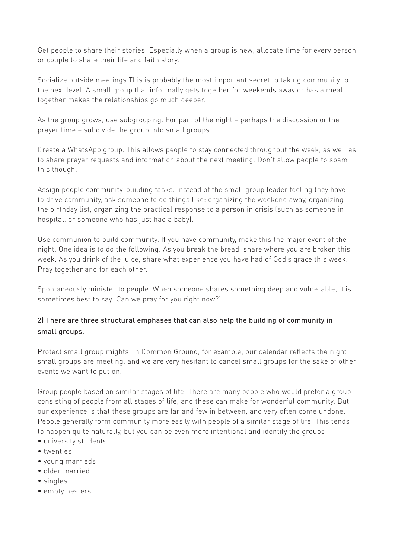Get people to share their stories. Especially when a group is new, allocate time for every person or couple to share their life and faith story.

Socialize outside meetings.This is probably the most important secret to taking community to the next level. A small group that informally gets together for weekends away or has a meal together makes the relationships go much deeper.

As the group grows, use subgrouping. For part of the night – perhaps the discussion or the prayer time – subdivide the group into small groups.

Create a WhatsApp group. This allows people to stay connected throughout the week, as well as to share prayer requests and information about the next meeting. Don't allow people to spam this though.

Assign people community-building tasks. Instead of the small group leader feeling they have to drive community, ask someone to do things like: organizing the weekend away, organizing the birthday list, organizing the practical response to a person in crisis (such as someone in hospital, or someone who has just had a baby).

Use communion to build community. If you have community, make this the major event of the night. One idea is to do the following: As you break the bread, share where you are broken this week. As you drink of the juice, share what experience you have had of God's grace this week. Pray together and for each other.

Spontaneously minister to people. When someone shares something deep and vulnerable, it is sometimes best to say 'Can we pray for you right now?'

## 2) There are three structural emphases that can also help the building of community in small groups.

Protect small group mights. In Common Ground, for example, our calendar reflects the night small groups are meeting, and we are very hesitant to cancel small groups for the sake of other events we want to put on.

Group people based on similar stages of life. There are many people who would prefer a group consisting of people from all stages of life, and these can make for wonderful community. But our experience is that these groups are far and few in between, and very often come undone. People generally form community more easily with people of a similar stage of life. This tends to happen quite naturally, but you can be even more intentional and identify the groups: • university students

- twenties
- 
- young marrieds • older married
- singles
- empty nesters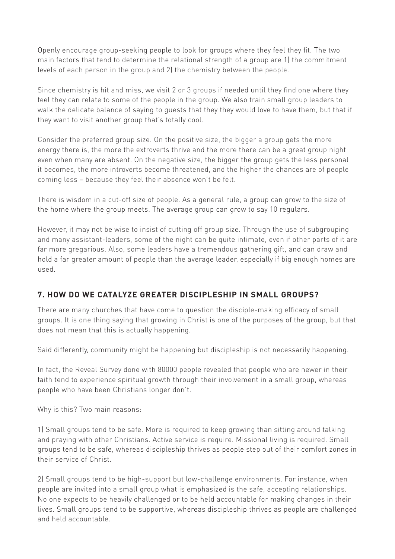Openly encourage group-seeking people to look for groups where they feel they fit. The two main factors that tend to determine the relational strength of a group are 1) the commitment levels of each person in the group and 2) the chemistry between the people.

Since chemistry is hit and miss, we visit 2 or 3 groups if needed until they find one where they feel they can relate to some of the people in the group. We also train small group leaders to walk the delicate balance of saying to guests that they they would love to have them, but that if they want to visit another group that's totally cool.

Consider the preferred group size. On the positive size, the bigger a group gets the more energy there is, the more the extroverts thrive and the more there can be a great group night even when many are absent. On the negative size, the bigger the group gets the less personal it becomes, the more introverts become threatened, and the higher the chances are of people coming less – because they feel their absence won't be felt.

There is wisdom in a cut-off size of people. As a general rule, a group can grow to the size of the home where the group meets. The average group can grow to say 10 regulars.

However, it may not be wise to insist of cutting off group size. Through the use of subgrouping and many assistant-leaders, some of the night can be quite intimate, even if other parts of it are far more gregarious. Also, some leaders have a tremendous gathering gift, and can draw and hold a far greater amount of people than the average leader, especially if big enough homes are used.

## **7. HOW DO WE CATALYZE GREATER DISCIPLESHIP IN SMALL GROUPS?**

There are many churches that have come to question the disciple-making efficacy of small groups. It is one thing saying that growing in Christ is one of the purposes of the group, but that does not mean that this is actually happening.

Said differently, community might be happening but discipleship is not necessarily happening.

In fact, the Reveal Survey done with 80000 people revealed that people who are newer in their faith tend to experience spiritual growth through their involvement in a small group, whereas people who have been Christians longer don't.

Why is this? Two main reasons:

1) Small groups tend to be safe. More is required to keep growing than sitting around talking and praying with other Christians. Active service is require. Missional living is required. Small groups tend to be safe, whereas discipleship thrives as people step out of their comfort zones in their service of Christ.

2) Small groups tend to be high-support but low-challenge environments. For instance, when people are invited into a small group what is emphasized is the safe, accepting relationships. No one expects to be heavily challenged or to be held accountable for making changes in their lives. Small groups tend to be supportive, whereas discipleship thrives as people are challenged and held accountable.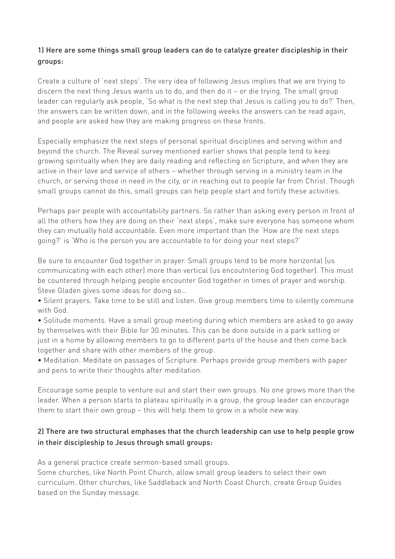## 1) Here are some things small group leaders can do to catalyze greater discipleship in their groups:

Create a culture of 'next steps'. The very idea of following Jesus implies that we are trying to discern the next thing Jesus wants us to do, and then do it – or die trying. The small group leader can regularly ask people, 'So what is the next step that Jesus is calling you to do?' Then, the answers can be written down, and in the following weeks the answers can be read again, and people are asked how they are making progress on these fronts.

Especially emphasize the next steps of personal spiritual disciplines and serving within and beyond the church. The Reveal survey mentioned earlier shows that people tend to keep growing spiritually when they are daily reading and reflecting on Scripture, and when they are active in their love and service of others – whether through serving in a ministry team in the church, or serving those in need in the city, or in reaching out to people far from Christ. Though small groups cannot do this, small groups can help people start and fortify these activities.

Perhaps pair people with accountability partners. So rather than asking every person in front of all the others how they are doing on their 'next steps', make sure everyone has someone whom they can mutually hold accountable. Even more important than the 'How are the next steps going?' is 'Who is the person you are accountable to for doing your next steps?'

Be sure to encounter God together in prayer. Small groups tend to be more horizontal (us communicating with each other) more than vertical (us encoutntering God together). This must be countered through helping people encounter God together in times of prayer and worship. Steve Gladen gives some ideas for doing so…

• Silent prayers. Take time to be still and listen. Give group members time to silently commune with God.

• Solitude moments. Have a small group meeting during which members are asked to go away by themselves with their Bible for 30 minutes. This can be done outside in a park setting or just in a home by allowing members to go to different parts of the house and then come back together and share with other members of the group.

• Meditation. Meditate on passages of Scripture. Perhaps provide group members with paper and pens to write their thoughts after meditation.

Encourage some people to venture out and start their own groups. No one grows more than the leader. When a person starts to plateau spiritually in a group, the group leader can encourage them to start their own group – this will help them to grow in a whole new way.

## 2) There are two structural emphases that the church leadership can use to help people grow in their discipleship to Jesus through small groups:

As a general practice create sermon-based small groups.

Some churches, like North Point Church, allow small group leaders to select their own curriculum. Other churches, like Saddleback and North Coast Church, create Group Guides based on the Sunday message.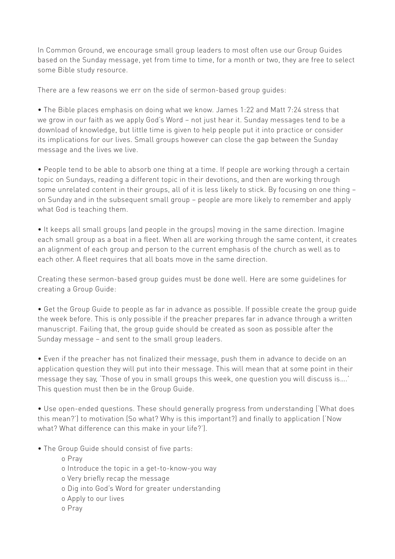In Common Ground, we encourage small group leaders to most often use our Group Guides based on the Sunday message, yet from time to time, for a month or two, they are free to select some Bible study resource.

There are a few reasons we err on the side of sermon-based group guides:

• The Bible places emphasis on doing what we know. James 1:22 and Matt 7:24 stress that we grow in our faith as we apply God's Word – not just hear it. Sunday messages tend to be a download of knowledge, but little time is given to help people put it into practice or consider its implications for our lives. Small groups however can close the gap between the Sunday message and the lives we live.

• People tend to be able to absorb one thing at a time. If people are working through a certain topic on Sundays, reading a different topic in their devotions, and then are working through some unrelated content in their groups, all of it is less likely to stick. By focusing on one thing – on Sunday and in the subsequent small group – people are more likely to remember and apply what God is teaching them.

• It keeps all small groups (and people in the groups) moving in the same direction. Imagine each small group as a boat in a fleet. When all are working through the same content, it creates an alignment of each group and person to the current emphasis of the church as well as to each other. A fleet requires that all boats move in the same direction.

Creating these sermon-based group guides must be done well. Here are some guidelines for creating a Group Guide:

• Get the Group Guide to people as far in advance as possible. If possible create the group guide the week before. This is only possible if the preacher prepares far in advance through a written manuscript. Failing that, the group guide should be created as soon as possible after the Sunday message – and sent to the small group leaders.

• Even if the preacher has not finalized their message, push them in advance to decide on an application question they will put into their message. This will mean that at some point in their message they say, 'Those of you in small groups this week, one question you will discuss is….' This question must then be in the Group Guide.

• Use open-ended questions. These should generally progress from understanding ('What does this mean?') to motivation (So what? Why is this important?) and finally to application ('Now what? What difference can this make in your life?').

- The Group Guide should consist of five parts:
	- o Pray
	- o Introduce the topic in a get-to-know-you way
	- o Very briefly recap the message
	- o Dig into God's Word for greater understanding
	- o Apply to our lives
	- o Pray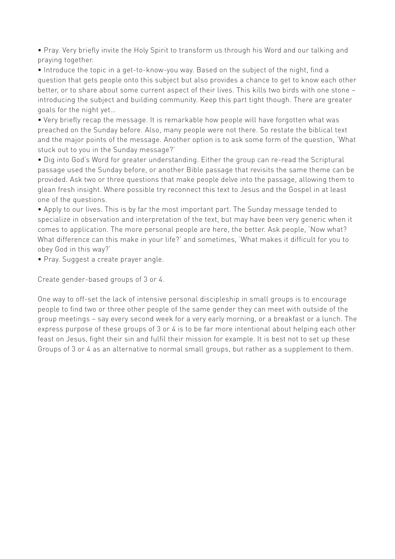• Pray. Very briefly invite the Holy Spirit to transform us through his Word and our talking and praying together.

• Introduce the topic in a get-to-know-you way. Based on the subject of the night, find a question that gets people onto this subject but also provides a chance to get to know each other better, or to share about some current aspect of their lives. This kills two birds with one stone – introducing the subject and building community. Keep this part tight though. There are greater goals for the night yet…

• Very briefly recap the message. It is remarkable how people will have forgotten what was preached on the Sunday before. Also, many people were not there. So restate the biblical text and the major points of the message. Another option is to ask some form of the question, 'What stuck out to you in the Sunday message?'

• Dig into God's Word for greater understanding. Either the group can re-read the Scriptural passage used the Sunday before, or another Bible passage that revisits the same theme can be provided. Ask two or three questions that make people delve into the passage, allowing them to glean fresh insight. Where possible try reconnect this text to Jesus and the Gospel in at least one of the questions.

• Apply to our lives. This is by far the most important part. The Sunday message tended to specialize in observation and interpretation of the text, but may have been very generic when it comes to application. The more personal people are here, the better. Ask people, 'Now what? What difference can this make in your life?' and sometimes, 'What makes it difficult for you to obey God in this way?'

• Pray. Suggest a create prayer angle.

Create gender-based groups of 3 or 4.

One way to off-set the lack of intensive personal discipleship in small groups is to encourage people to find two or three other people of the same gender they can meet with outside of the group meetings – say every second week for a very early morning, or a breakfast or a lunch. The express purpose of these groups of 3 or 4 is to be far more intentional about helping each other feast on Jesus, fight their sin and fulfil their mission for example. It is best not to set up these Groups of 3 or 4 as an alternative to normal small groups, but rather as a supplement to them.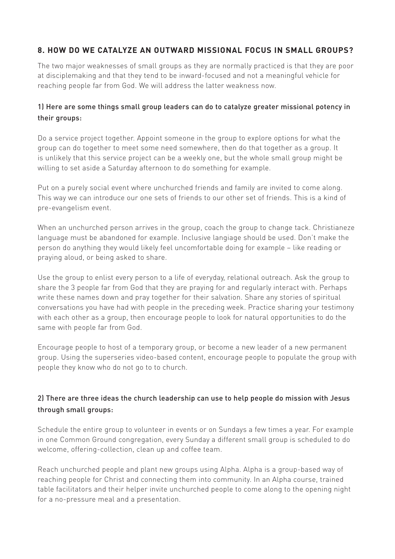## **8. HOW DO WE CATALYZE AN OUTWARD MISSIONAL FOCUS IN SMALL GROUPS?**

The two major weaknesses of small groups as they are normally practiced is that they are poor at disciplemaking and that they tend to be inward-focused and not a meaningful vehicle for reaching people far from God. We will address the latter weakness now.

## 1) Here are some things small group leaders can do to catalyze greater missional potency in their groups:

Do a service project together. Appoint someone in the group to explore options for what the group can do together to meet some need somewhere, then do that together as a group. It is unlikely that this service project can be a weekly one, but the whole small group might be willing to set aside a Saturday afternoon to do something for example.

Put on a purely social event where unchurched friends and family are invited to come along. This way we can introduce our one sets of friends to our other set of friends. This is a kind of pre-evangelism event.

When an unchurched person arrives in the group, coach the group to change tack. Christianeze language must be abandoned for example. Inclusive langiage should be used. Don't make the person do anything they would likely feel uncomfortable doing for example – like reading or praying aloud, or being asked to share.

Use the group to enlist every person to a life of everyday, relational outreach. Ask the group to share the 3 people far from God that they are praying for and regularly interact with. Perhaps write these names down and pray together for their salvation. Share any stories of spiritual conversations you have had with people in the preceding week. Practice sharing your testimony with each other as a group, then encourage people to look for natural opportunities to do the same with people far from God.

Encourage people to host of a temporary group, or become a new leader of a new permanent group. Using the superseries video-based content, encourage people to populate the group with people they know who do not go to to church.

## 2) There are three ideas the church leadership can use to help people do mission with Jesus through small groups:

Schedule the entire group to volunteer in events or on Sundays a few times a year. For example in one Common Ground congregation, every Sunday a different small group is scheduled to do welcome, offering-collection, clean up and coffee team.

Reach unchurched people and plant new groups using Alpha. Alpha is a group-based way of reaching people for Christ and connecting them into community. In an Alpha course, trained table facilitators and their helper invite unchurched people to come along to the opening night for a no-pressure meal and a presentation.